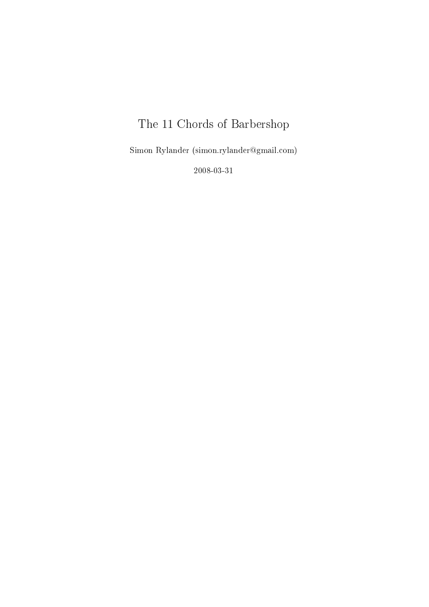# The 11 Chords of Barbershop

Simon Rylander (simon.rylander@gmail.com)

2008-03-31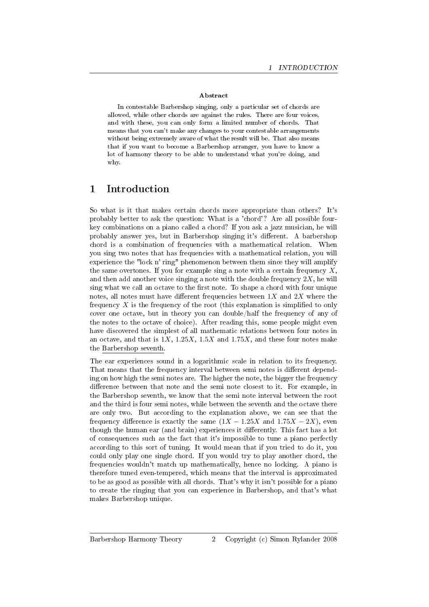#### Abstract

In contestable Barbershop singing, only a particular set of chords are allowed, while other chords are against the rules. There are four voices, and with these, you can only form a limited number of chords. That means that you can't make any changes to your contestable arrangements without being extremely aware of what the result will be. That also means that if you want to become a Barbershop arranger, you have to know a lot of harmony theory to be able to understand what you're doing, and why.

## 1 Introduction

So what is it that makes certain chords more appropriate than others? It's probably better to ask the question: What is a 'chord'? Are all possible fourkey combinations on a piano called a chord? If you ask a jazz musician, he will probably answer yes, but in Barbershop singing it's different. A barbershop chord is a combination of frequencies with a mathematical relation. When you sing two notes that has frequencies with a mathematical relation, you will experience the "lock n' ring" phenomenon between them since they will amplify the same overtones. If you for example sing a note with a certain frequency  $X$ , and then add another voice singing a note with the double frequency  $2X$ , he will sing what we call an octave to the first note. To shape a chord with four unique notes, all notes must have different frequencies between  $1X$  and  $2X$  where the frequency  $X$  is the frequency of the root (this explanation is simplified to only cover one octave, but in theory you can double/half the frequency of any of the notes to the octave of choice). After reading this, some people might even have discovered the simplest of all mathematic relations between four notes in an octave, and that is  $1X$ ,  $1.25X$ ,  $1.5X$  and  $1.75X$ , and these four notes make the Barbershop seventh.

The ear experiences sound in a logarithmic scale in relation to its frequency. That means that the frequency interval between semi notes is different depending on how high the semi notes are. The higher the note, the bigger the frequency difference between that note and the semi note closest to it. For example, in the Barbershop seventh, we know that the semi note interval between the root and the third is four semi notes, while between the seventh and the octave there are only two. But according to the explanation above, we can see that the frequency difference is exactly the same  $(1X - 1.25X$  and  $1.75X - 2X)$ , even though the human ear (and brain) experiences it differently. This fact has a lot of consequences such as the fact that it's impossible to tune a piano perfectly according to this sort of tuning. It would mean that if you tried to do it, you could only play one single chord. If you would try to play another chord, the frequencies wouldn't match up mathematically, hence no locking. A piano is therefore tuned even-tempered, which means that the interval is approximated to be as good as possible with all chords. That's why it isn't possible for a piano to create the ringing that you can experience in Barbershop, and that's what makes Barbershop unique.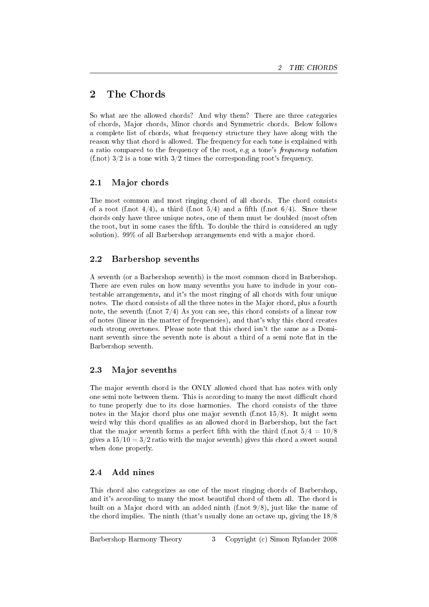## 2 The Chords

So what are the allowed chords? And why them? There are three categories of chords, Major chords, Minor chords and Symmetric chords. Below follows a complete list of chords, what frequency structure they have along with the reason why that chord is allowed. The frequency for each tone is explained with a ratio compared to the frequency of the root, e.g a tone's frequency notation (f.not)  $3/2$  is a tone with  $3/2$  times the corresponding root's frequency.

## 2.1 Major chords

The most common and most ringing chord of all chords. The chord consists of a root (f.not  $4/4$ ), a third (f.not  $5/4$ ) and a fifth (f.not  $6/4$ ). Since these chords only have three unique notes, one of them must be doubled (most often the root, but in some cases the fth. To double the third is considered an ugly solution). 99% of all Barbershop arrangements end with a major chord.

## 2.2 Barbershop sevenths

A seventh (or a Barbershop seventh) is the most common chord in Barbershop. There are even rules on how many sevenths you have to include in your contestable arrangements, and it's the most ringing of all chords with four unique notes. The chord consists of all the three notes in the Major chord, plus a fourth note, the seventh (f.not  $7/4$ ) As you can see, this chord consists of a linear row of notes (linear in the matter of frequencies), and that's why this chord creates such strong overtones. Please note that this chord isn't the same as a Dominant seventh since the seventh note is about a third of a semi note flat in the Barbershop seventh.

## 2.3 Major sevenths

The major seventh chord is the ONLY allowed chord that has notes with only one semi note between them. This is according to many the most difficult chord to tune properly due to its close harmonies. The chord consists of the three notes in the Major chord plus one major seventh (f.not  $15/8$ ). It might seem weird why this chord qualifies as an allowed chord in Barbershop, but the fact that the major seventh forms a perfect fifth with the third (f.not  $5/4 = 10/8$ ) gives a  $15/10 = 3/2$  ratio with the major seventh) gives this chord a sweet sound when done properly.

## 2.4 Add nines

This chord also categorizes as one of the most ringing chords of Barbershop, and it's according to many the most beautiful chord of them all. The chord is built on a Major chord with an added ninth (f.not 9/8), just like the name of the chord implies. The ninth (that's usually done an octave up, giving the 18/8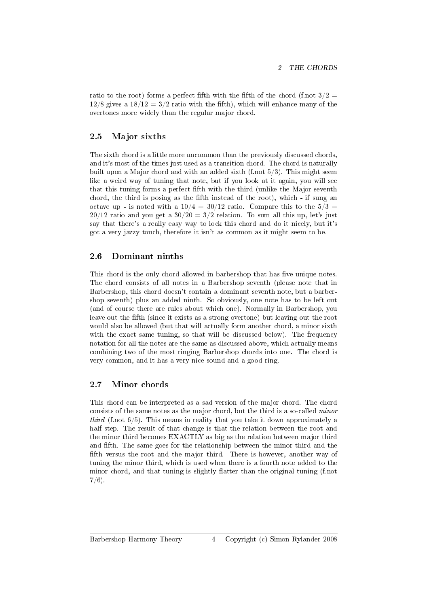ratio to the root) forms a perfect fifth with the fifth of the chord (f.not  $3/2 =$  $12/8$  gives a  $18/12 = 3/2$  ratio with the fifth), which will enhance many of the overtones more widely than the regular major chord.

#### 2.5 Major sixths

The sixth chord is a little more uncommon than the previously discussed chords, and it's most of the times just used as a transition chord. The chord is naturally built upon a Major chord and with an added sixth (f.not 5/3). This might seem like a weird way of tuning that note, but if you look at it again, you will see that this tuning forms a perfect fth with the third (unlike the Major seventh chord, the third is posing as the fth instead of the root), which - if sung an octave up - is noted with a  $10/4 = 30/12$  ratio. Compare this to the  $5/3 =$  $20/12$  ratio and you get a  $30/20 = 3/2$  relation. To sum all this up, let's just say that there's a really easy way to lock this chord and do it nicely, but it's got a very jazzy touch, therefore it isn't as common as it might seem to be.

## 2.6 Dominant ninths

This chord is the only chord allowed in barbershop that has five unique notes. The chord consists of all notes in a Barbershop seventh (please note that in Barbershop, this chord doesn't contain a dominant seventh note, but a barbershop seventh) plus an added ninth. So obviously, one note has to be left out (and of course there are rules about which one). Normally in Barbershop, you leave out the fth (since it exists as a strong overtone) but leaving out the root would also be allowed (but that will actually form another chord, a minor sixth with the exact same tuning, so that will be discussed below). The frequency notation for all the notes are the same as discussed above, which actually means combining two of the most ringing Barbershop chords into one. The chord is very common, and it has a very nice sound and a good ring.

#### 2.7 Minor chords

This chord can be interpreted as a sad version of the major chord. The chord consists of the same notes as the major chord, but the third is a so-called minor *third* (f.not  $6/5$ ). This means in reality that you take it down approximately a half step. The result of that change is that the relation between the root and the minor third becomes EXACTLY as big as the relation between major third and fifth. The same goes for the relationship between the minor third and the fifth versus the root and the major third. There is however, another way of tuning the minor third, which is used when there is a fourth note added to the minor chord, and that tuning is slightly flatter than the original tuning  $(f, not)$  $7/6$ ).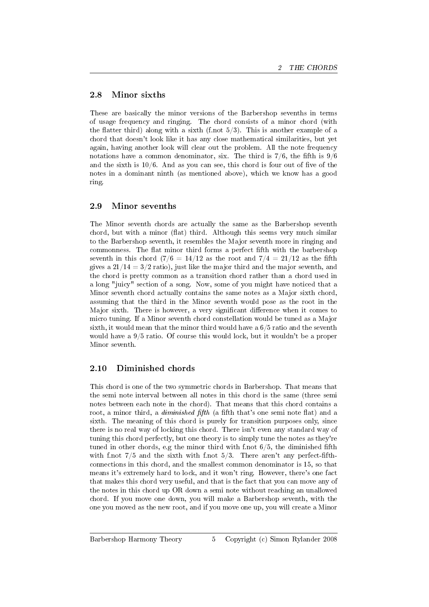### 2.8 Minor sixths

These are basically the minor versions of the Barbershop sevenths in terms of usage frequency and ringing. The chord consists of a minor chord (with the flatter third) along with a sixth (f.not  $5/3$ ). This is another example of a chord that doesn't look like it has any close mathematical similarities, but yet again, having another look will clear out the problem. All the note frequency notations have a common denominator, six. The third is  $7/6$ , the fifth is  $9/6$ and the sixth is  $10/6$ . And as you can see, this chord is four out of five of the notes in a dominant ninth (as mentioned above), which we know has a good ring.

#### 2.9 Minor sevenths

The Minor seventh chords are actually the same as the Barbershop seventh chord, but with a minor (flat) third. Although this seems very much similar to the Barbershop seventh, it resembles the Major seventh more in ringing and commonness. The flat minor third forms a perfect fifth with the barbershop seventh in this chord  $(7/6 = 14/12$  as the root and  $7/4 = 21/12$  as the fifth gives a  $21/14 = 3/2$  ratio), just like the major third and the major seventh, and the chord is pretty common as a transition chord rather than a chord used in a long "juicy" section of a song. Now, some of you might have noticed that a Minor seventh chord actually contains the same notes as a Major sixth chord, assuming that the third in the Minor seventh would pose as the root in the Major sixth. There is however, a very significant difference when it comes to micro tuning. If a Minor seventh chord constellation would be tuned as a Major sixth, it would mean that the minor third would have a  $6/5$  ratio and the seventh would have a 9/5 ratio. Of course this would lock, but it wouldn't be a proper Minor seventh.

## 2.10 Diminished chords

This chord is one of the two symmetric chords in Barbershop. That means that the semi note interval between all notes in this chord is the same (three semi notes between each note in the chord). That means that this chord contains a root, a minor third, a *diminished fifth* (a fifth that's one semi note flat) and a sixth. The meaning of this chord is purely for transition purposes only, since there is no real way of locking this chord. There isn't even any standard way of tuning this chord perfectly, but one theory is to simply tune the notes as they're tuned in other chords, e.g the minor third with f.not  $6/5$ , the diminished fifth with f.not  $7/5$  and the sixth with f.not  $5/3$ . There aren't any perfect-fifthconnections in this chord, and the smallest common denominator is 15, so that means it's extremely hard to lock, and it won't ring. However, there's one fact that makes this chord very useful, and that is the fact that you can move any of the notes in this chord up OR down a semi note without reaching an unallowed chord. If you move one down, you will make a Barbershop seventh, with the one you moved as the new root, and if you move one up, you will create a Minor